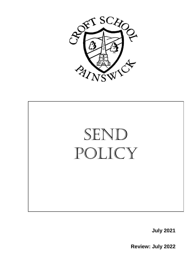



**July 2021**

**Review: July 2022**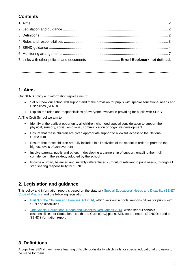# **Contents**

**…………………………………………………………………………………………………………………………….**

## **1. Aims**

Our SEND policy and information report aims to:

- Set out how our school will support and make provision for pupils with special educational needs and Disabilities (SEND)
- Explain the roles and responsibilities of everyone involved in providing for pupils with SEND

At The Croft School we aim to:

- Identify at the earliest opportunity all children who need special consideration to support their physical, sensory, social, emotional, communication or cognitive development
- Ensure that these children are given appropriate support to allow full access to the National **Curriculum**
- Ensure that these children are fully included in all activities of the school in order to promote the highest levels of achievement
- Involve parents, pupils and others in developing a partnership of support, enabling them full confidence in the strategy adopted by the school
- Provide a broad, balanced and suitably differentiated curriculum relevant to pupil needs, through all staff sharing responsibility for SEND

## **2. Legislation and guidance**

This policy and information report is based on the statutory [Special Educational Needs and Disability \(SEND\)](https://www.gov.uk/government/uploads/system/uploads/attachment_data/file/398815/SEND_Code_of_Practice_January_2015.pdf)  [Code of Practice](https://www.gov.uk/government/uploads/system/uploads/attachment_data/file/398815/SEND_Code_of_Practice_January_2015.pdf) and the following legislation:

- [Part 3 of the Children and Families Act 2014,](http://www.legislation.gov.uk/ukpga/2014/6/part/3) which sets out schools' responsibilities for pupils with SEN and disabilities
- [The Special Educational Needs and Disability Regulations 2014,](http://www.legislation.gov.uk/uksi/2014/1530/contents/made) which set out schools' responsibilities for Education, Health and Care (EHC) plans, SEN co-ordinators (SENCOs) and the SEND information report

## **3. Definitions**

A pupil has SEN if they have a learning difficulty or disability which calls for special educational provision to be made for them.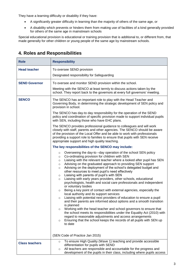They have a learning difficulty or disability if they have:

- A significantly greater difficulty in learning than the majority of others of the same age, or
- A disability which prevents or hinders them from making use of facilities of a kind generally provided for others of the same age in mainstream schools

Special educational provision is educational or training provision that is additional to, or different from, that made generally for other children or young people of the same age by mainstream schools.

| <b>Role</b>           | <b>Responsibility</b>                                                                                                                                                                                                                                                                                                                                                                                                                                                                                                                                                                                                                                                                                                                                                                                                                                                                                                                                                                                                                                                                                                                                                                                                                                                                                                                                                                                                                                                                                                                                                                                                                                                                                                                                                                                                                                                                                                                                                                                                                                                                                                                                 |
|-----------------------|-------------------------------------------------------------------------------------------------------------------------------------------------------------------------------------------------------------------------------------------------------------------------------------------------------------------------------------------------------------------------------------------------------------------------------------------------------------------------------------------------------------------------------------------------------------------------------------------------------------------------------------------------------------------------------------------------------------------------------------------------------------------------------------------------------------------------------------------------------------------------------------------------------------------------------------------------------------------------------------------------------------------------------------------------------------------------------------------------------------------------------------------------------------------------------------------------------------------------------------------------------------------------------------------------------------------------------------------------------------------------------------------------------------------------------------------------------------------------------------------------------------------------------------------------------------------------------------------------------------------------------------------------------------------------------------------------------------------------------------------------------------------------------------------------------------------------------------------------------------------------------------------------------------------------------------------------------------------------------------------------------------------------------------------------------------------------------------------------------------------------------------------------------|
| <b>Head teacher</b>   | To oversee SEND provision<br>Designated responsibility for Safeguarding                                                                                                                                                                                                                                                                                                                                                                                                                                                                                                                                                                                                                                                                                                                                                                                                                                                                                                                                                                                                                                                                                                                                                                                                                                                                                                                                                                                                                                                                                                                                                                                                                                                                                                                                                                                                                                                                                                                                                                                                                                                                               |
| <b>SEND Governor</b>  | To oversee and monitor SEND provision within the school.<br>Meeting with the SENCO at least termly to discuss actions taken by the<br>school. They report back to the governors at every full governors' meeting.                                                                                                                                                                                                                                                                                                                                                                                                                                                                                                                                                                                                                                                                                                                                                                                                                                                                                                                                                                                                                                                                                                                                                                                                                                                                                                                                                                                                                                                                                                                                                                                                                                                                                                                                                                                                                                                                                                                                     |
| <b>SENCO</b>          | The SENCO has an important role to play with the Head Teacher and<br>Governing Body, in determining the strategic development of SEN policy and<br>provision in school.<br>The SENCO has day-to day responsibility for the operation of the SEND<br>policy and coordination of specific provision made to support individual pupils<br>with SEN, including those who have EHC plans.<br>The SENCO provides professional guidance to colleagues and will work<br>closely with staff, parents and other agencies. The SENCO should be aware<br>of the provision of the Local Offer and be able to work with professionals<br>providing a support role to families to ensure that pupils with SEN receive<br>appropriate support and high quality teaching.<br>The key responsibilities of the SENCO may include:<br>Overseeing the day-to -day operation of the school SEN policy<br>$\circ$<br>Co-ordinating provision for children with SEN<br>$\circ$<br>Liaising with the relevant teacher where a looked after pupil has SEN<br>$\circ$<br>Advising on the graduated approach to providing SEN support<br>$\circ$<br>Advising on the deployment of the school's delegated budget and<br>$\circ$<br>other resources to meet pupil's need effectively<br>Liaising with parents of pupil's with SEN<br>$\circ$<br>Liaising with early years providers, other schools, educational<br>$\circ$<br>psychologists, health and social care professionals and independent<br>or voluntary bodies<br>Being a key point of contact with external agencies, especially the<br>$\circ$<br>local authority and its support services<br>Liaising with potential next providers of education to ensure a pupil<br>$\circ$<br>and their parents are informed about options and a smooth transition<br>is planned<br>Working with the head teacher and school governors to ensure that<br>O<br>the school meets its responsibilities under the Equality Act (2010) with<br>regard to reasonable adjustments and access arrangements<br>Ensuring that the school keeps the records of all pupils with SEN up<br>$\circ$<br>to date<br>(SEN Code of Practice Jan 2015) |
| <b>Class teachers</b> | To ensure High Quality (Wave 1) teaching and provide accessible<br>$\circ$<br>differentiation for pupils with SEND<br>All teachers are responsible and accountable for the progress and<br>$\circ$<br>development of the pupils in their class, including where pupils access                                                                                                                                                                                                                                                                                                                                                                                                                                                                                                                                                                                                                                                                                                                                                                                                                                                                                                                                                                                                                                                                                                                                                                                                                                                                                                                                                                                                                                                                                                                                                                                                                                                                                                                                                                                                                                                                         |

## **4. Roles and Responsibilities**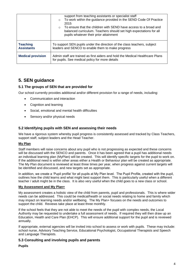|                                      | support from teaching assistants or specialist staff<br>To work within the guidance provided in the SEND Code Of Practice<br>$\circ$<br>2015<br>To ensure that the children with SEND have access to a broad and<br>$\circ$<br>balanced curriculum. Teachers should set high expectations for all<br>pupils whatever their prior attainment |
|--------------------------------------|---------------------------------------------------------------------------------------------------------------------------------------------------------------------------------------------------------------------------------------------------------------------------------------------------------------------------------------------|
| <b>Teaching</b><br><b>Assistants</b> | To support SEN pupils under the direction of the class teachers, subject<br>leaders and SENCO to enable them to make progress                                                                                                                                                                                                               |
| <b>Medical provision</b>             | Admin staff are trained as first aiders and hold the Medical Healthcare Plans<br>for pupils. See medical policy for more details                                                                                                                                                                                                            |

## **5. SEN guidance**

## **5.1 The groups of SEN that are provided for**

Our school currently provides additional and/or different provision for a range of needs, including:

- Communication and interaction
- Cognition and learning
- Social, emotional and mental health difficulties
- Sensory and/or physical needs

### **5.2 Identifying pupils with SEN and assessing their needs**

We have a rigorous system whereby pupil progress is consistently assessed and tracked by Class Teachers, support staff, subject leaders and the Head Teacher.

#### **My Plan**

Staff members will raise concerns about any pupil who is not progressing as expected and these concerns will be discussed with the SENCO and parents. Once it has been agreed that a pupil has additional needs an individual learning plan (MyPlan) will be created. This will identify specific targets for the pupil to work on. If the additional need is within other areas either a Health or Behaviour plan will be created as appropriate. The My Plan document is reviewed at least three times per year, when progress against current targets will be identified and discussed, and new targets set as appropriate.

In addition, we create a 'Pupil profile' for all pupils at My Plan level. The Pupil Profile, created with the pupil, outlines how the child learns and what might best support them. This is particularly useful when a different teacher / adult might be in the class. It is also very useful when the child goes to a new class or school.

#### **My Assessment and My Plan+**

My assessment creates a holistic view of the child from parents, pupil and professionals. This is where wider needs can be addressed. This could be medical/health or social needs relating to home and family which may impact on learning needs and/or wellbeing. The My Plan+ focuses on the needs and outcomes to support the child. Reviews take place at least three monthly.

If the school feels that they are not able to meet the needs of the pupil with complex needs, the Local Authority may be requested to undertake a full assessment of needs. If required they will then draw up an Education, Health and Care Plan (EHCP). This will ensure additional support for the pupil and is reviewed annually.

If appropriate, external agencies will be invited into school to assess or work with pupils. These may include: school nurse, Advisory Teaching Service, Educational Psychologist, Occupational Therapists and Speech and Language Therapists.

### **5.3 Consulting and involving pupils and parents**

#### **Pupils**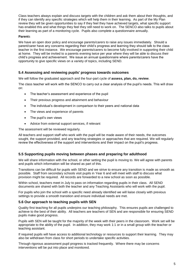Class teachers always explain and discuss targets with the children and ask them about their thoughts, and if they can identify any specific strategies which will help them in their learning. As part of the My Plan review they will be given opportunities to say if they feel they have achieved targets, what specific support has enabled this and what things they feel they still need to work on. The SENCO also talks to pupils about their learning as part of a monitoring cycle. Pupils also complete a questionnaire annually.

#### **Parent**s

We have an open door policy and encourage parents/carers to raise any issues immediately. Should a parent/carer have any concerns regarding their child's progress and learning they should talk to the class teacher in the first instance. We encourage parents/carers to become fully involved in supporting their child at home. They will be invited to a parents evening twice per year where they will be able to discuss their child's progress and achievement. We issue an annual questionnaire where parents/carers have the opportunity to give specific views on a variety of topics, including SEND.

## **5.4 Assessing and reviewing pupils' progress towards outcomes**

We will follow the graduated approach and the four-part cycle of **assess, plan, do, review**.

The class teacher will work with the SENCO to carry out a clear analysis of the pupil's needs. This will draw on:

- The teacher's assessment and experience of the pupil
- Their previous progress and attainment and behaviour
- The individual's development in comparison to their peers and national data
- The views and experience of parents
- The pupil's own views
- Advice from external support services, if relevant

The assessment will be reviewed regularly.

All teachers and support staff who work with the pupil will be made aware of their needs, the outcomes sought, the support provided, and any teaching strategies or approaches that are required. We will regularly review the effectiveness of the support and interventions and their impact on the pupil's progress.

### **5.5 Supporting pupils moving between phases and preparing for adulthood**

We will share information with the school, or other setting the pupil is moving to. We will agree with parents and pupils which information will be shared as part of this.

Transitions can be difficult for pupils with SEND and we strive to ensure any transition is made as smooth as possible. Staff from secondary schools visit pupils in Year 6 and will meet with staff to discuss what provision might be required. All records are forwarded to a new school as soon as possible.

Within school, teachers meet in July to pass on information regarding pupils in their class. All SEND documents are shared with both the teacher and any Teaching Assistants who will work with the pupil.

For pupils who join the school with a specific need already identified we will liaise closely with previous settings to provide a smooth transition and ensure individual needs are met.

### **5.6 Our approach to teaching pupils with SEN**

Quality first teaching for all pupils underpins our teaching philosophy. This ensures pupils are challenged to achieve to the best of their ability. All teachers are teachers of SEN and are responsible for ensuring SEND pupils make good progress.

Pupils with SEN will be taught for the majority of the week with their peers in the classroom. Work set will be appropriate to the ability of the pupil. In addition, they may work 1:1 or in a small group with the teacher or teaching assistant.

If required pupils will have access to additional technology or resources to support their learning. They may also be withdrawn from class for short periods to undertake specific activities.

Through rigorous assessment pupil progress is tracked frequently. Where there may be concerns interventions will be put into place and monitored.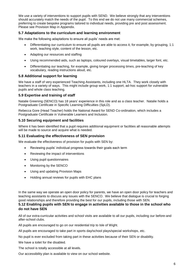We use a variety of interventions to support pupils with SEND. We believe strongly that any interventions should accurately match the needs of the pupil. To this end we do not use many commercial schemes, preferring to create bespoke programs tailored to individual needs, providing pre and post assessment. Please see Provision Map in Appendix.

## **5.7 Adaptations to the curriculum and learning environment**

We make the following adaptations to ensure all pupils' needs are met:

- Differentiating our curriculum to ensure all pupils are able to access it, for example, by grouping, 1:1 work, teaching style, content of the lesson, etc.
- Adapting our resources and staffing
- Using recommended aids, such as laptops, coloured overlays, visual timetables, larger font, etc.
- Differentiating our teaching, for example, giving longer processing times, pre-teaching of key vocabulary, reading instructions aloud, etc.

#### **5.8 Additional support for learning**

We have a staff of very experienced Teaching Assistants, including one HLTA. They work closely with teachers in a variety of ways. This might include group work, 1:1 support, ad-hoc support for vulnerable pupils and whole class teaching.

#### **5.9 Expertise and training of staff**

Natalie Greening (SENCO) has 18 years' experience in this role and as a class teacher. Natalie holds a Postgraduate Certificate in Specific Learning Difficulties (SpLD).

Rebecca Gore (Head Teacher) holds the National Award for SEND Co-ordination, which includes a Postgraduate Certificate in Vulnerable Learners and Inclusion.

#### **5.10 Securing equipment and facilities**

Where it has been identified that a pupil requires additional equipment or facilities all reasonable attempts will be made to source and acquire what is needed.

#### **5.11 Evaluating the effectiveness of SEN provision**

We evaluate the effectiveness of provision for pupils with SEN by:

- Reviewing pupils' individual progress towards their goals each term
- Reviewing the impact of interventions
- Using pupil questionnaires
- Monitoring by the SENCO
- Using and updating Provision Maps
- Holding annual reviews for pupils with EHC plans

In the same way we operate an open door policy for parents, we have an open door policy for teachers and teaching assistants to discuss any issues with the SENCO. We believe that dialogue is crucial to forging good relationships and therefore providing the best for our pupils, including those with SEN.

### **5.12 Enabling pupils with SEN to engage in activities available to those in the school who do not have SEN**

All of our extra-curricular activities and school visits are available to all our pupils, including our before-and after-school clubs.

All pupils are encouraged to go on our residential trip to Isle of Wight.

All pupils are encouraged to take part in sports day/school plays/special workshops, etc.

No pupil is ever excluded from taking part in these activities because of their SEN or disability.

We have a toilet for the disabled.

The school is totally accessible at all levels.

Our accessibility plan is available to view on our school website.